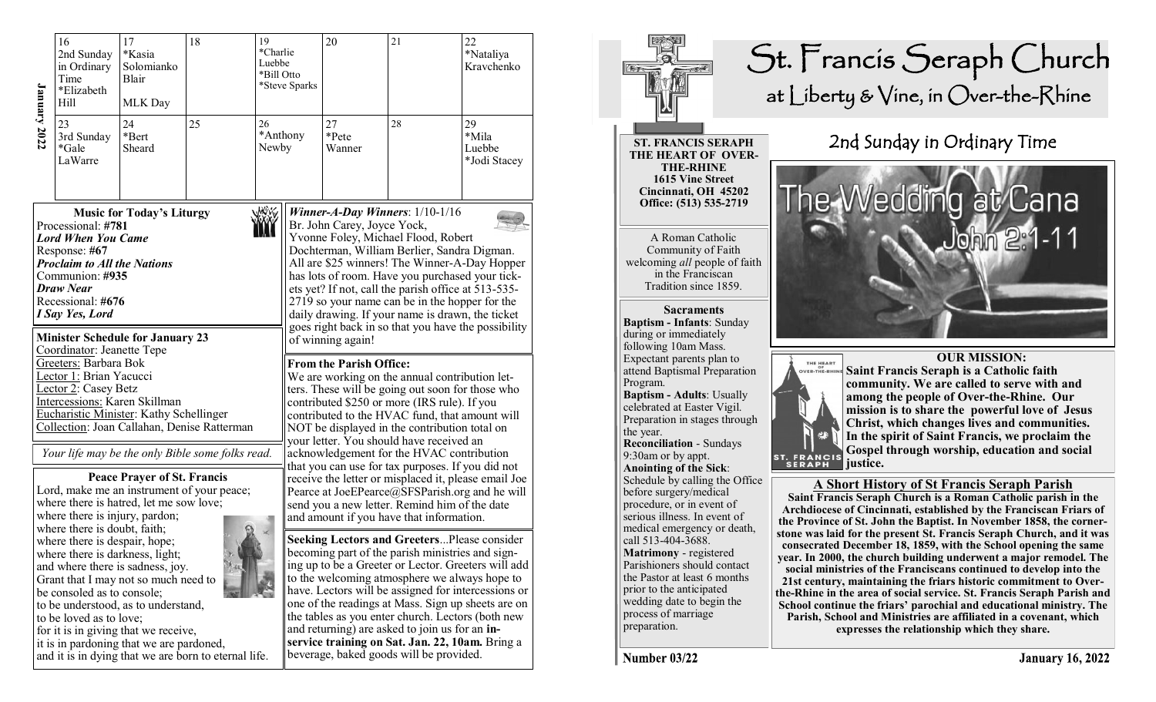| <b>January 2022</b>                                                                                                                                                                                                                                                                                                                                                                                                      | 16<br>2nd Sunday<br>in Ordinary<br>Time<br>*Elizabeth<br>Hill                                                                           | 17<br>*Kasia<br>Solomianko<br>Blair<br>MLK Day                                                                              | 18<br>19<br>*Charlie<br>Luebbe<br>*Bill Otto                                                    |                                                                                                                                                                                                                                                                                                                                                                                                                                                                                                                                                                                                                                                                   | *Steve Sparks | 20                                                                                                                                                                                                                                                                                                                                                                                                                                                                                                                               | 21 | 22<br>*Nataliya<br>Kravchenko         |  |
|--------------------------------------------------------------------------------------------------------------------------------------------------------------------------------------------------------------------------------------------------------------------------------------------------------------------------------------------------------------------------------------------------------------------------|-----------------------------------------------------------------------------------------------------------------------------------------|-----------------------------------------------------------------------------------------------------------------------------|-------------------------------------------------------------------------------------------------|-------------------------------------------------------------------------------------------------------------------------------------------------------------------------------------------------------------------------------------------------------------------------------------------------------------------------------------------------------------------------------------------------------------------------------------------------------------------------------------------------------------------------------------------------------------------------------------------------------------------------------------------------------------------|---------------|----------------------------------------------------------------------------------------------------------------------------------------------------------------------------------------------------------------------------------------------------------------------------------------------------------------------------------------------------------------------------------------------------------------------------------------------------------------------------------------------------------------------------------|----|---------------------------------------|--|
|                                                                                                                                                                                                                                                                                                                                                                                                                          | 23<br>3rd Sunday<br>*Gale<br>LaWarre                                                                                                    | 24<br>*Bert<br>Sheard                                                                                                       | 25                                                                                              | 26<br>*Anthony<br>Newby                                                                                                                                                                                                                                                                                                                                                                                                                                                                                                                                                                                                                                           |               | 27<br>*Pete<br>Wanner                                                                                                                                                                                                                                                                                                                                                                                                                                                                                                            | 28 | 29<br>*Mila<br>Luebbe<br>*Jodi Stacey |  |
| <b>Music for Today's Liturgy</b><br>Processional: #781<br><b>Lord When You Came</b><br>Response: #67<br><b>Proclaim to All the Nations</b><br>Communion: #935<br>Draw Near<br>Recessional: #676<br>I Say Yes, Lord                                                                                                                                                                                                       |                                                                                                                                         |                                                                                                                             |                                                                                                 |                                                                                                                                                                                                                                                                                                                                                                                                                                                                                                                                                                                                                                                                   |               | Winner-A-Day Winners: $1/10-1/16$<br>Br. John Carey, Joyce Yock,<br>Yvonne Foley, Michael Flood, Robert<br>Dochterman, William Berlier, Sandra Digman.<br>All are \$25 winners! The Winner-A-Day Hopper<br>has lots of room. Have you purchased your tick-<br>ets yet? If not, call the parish office at 513-535-<br>2719 so your name can be in the hopper for the<br>daily drawing. If your name is drawn, the ticket<br>goes right back in so that you have the possibility                                                   |    |                                       |  |
|                                                                                                                                                                                                                                                                                                                                                                                                                          | Coordinator: Jeanette Tepe<br>Greeters: Barbara Bok<br>Lector 1: Brian Yacucci<br>Lector 2: Casey Betz<br>Intercessions: Karen Skillman | <b>Minister Schedule for January 23</b><br>Eucharistic Minister: Kathy Schellinger                                          | Collection: Joan Callahan, Denise Ratterman<br>Your life may be the only Bible some folks read. | of winning again!<br><b>From the Parish Office:</b><br>We are working on the annual contribution let-<br>ters. These will be going out soon for those who<br>contributed \$250 or more (IRS rule). If you<br>contributed to the HVAC fund, that amount will<br>NOT be displayed in the contribution total on<br>your letter. You should have received an<br>acknowledgement for the HVAC contribution<br>that you can use for tax purposes. If you did not<br>receive the letter or misplaced it, please email Joe<br>Pearce at JoeEPearce@SFSParish.org and he will<br>send you a new letter. Remind him of the date<br>and amount if you have that information. |               |                                                                                                                                                                                                                                                                                                                                                                                                                                                                                                                                  |    |                                       |  |
|                                                                                                                                                                                                                                                                                                                                                                                                                          | where there is injury, pardon;                                                                                                          | <b>Peace Prayer of St. Francis</b><br>Lord, make me an instrument of your peace;<br>where there is hatred, let me sow love; |                                                                                                 |                                                                                                                                                                                                                                                                                                                                                                                                                                                                                                                                                                                                                                                                   |               |                                                                                                                                                                                                                                                                                                                                                                                                                                                                                                                                  |    |                                       |  |
| where there is doubt, faith;<br>where there is despair, hope;<br>where there is darkness, light;<br>and where there is sadness, joy.<br>Grant that I may not so much need to<br>be consoled as to console;<br>to be understood, as to understand,<br>to be loved as to love;<br>for it is in giving that we receive,<br>it is in pardoning that we are pardoned,<br>and it is in dying that we are born to eternal life. |                                                                                                                                         |                                                                                                                             |                                                                                                 |                                                                                                                                                                                                                                                                                                                                                                                                                                                                                                                                                                                                                                                                   |               | <b>Seeking Lectors and GreetersPlease consider</b><br>becoming part of the parish ministries and sign-<br>ing up to be a Greeter or Lector. Greeters will add<br>to the welcoming atmosphere we always hope to<br>have. Lectors will be assigned for intercessions or<br>one of the readings at Mass. Sign up sheets are on<br>the tables as you enter church. Lectors (both new<br>and returning) are asked to join us for an in-<br>service training on Sat. Jan. 22, 10am. Bring a<br>beverage, baked goods will be provided. |    |                                       |  |



Number 03/22